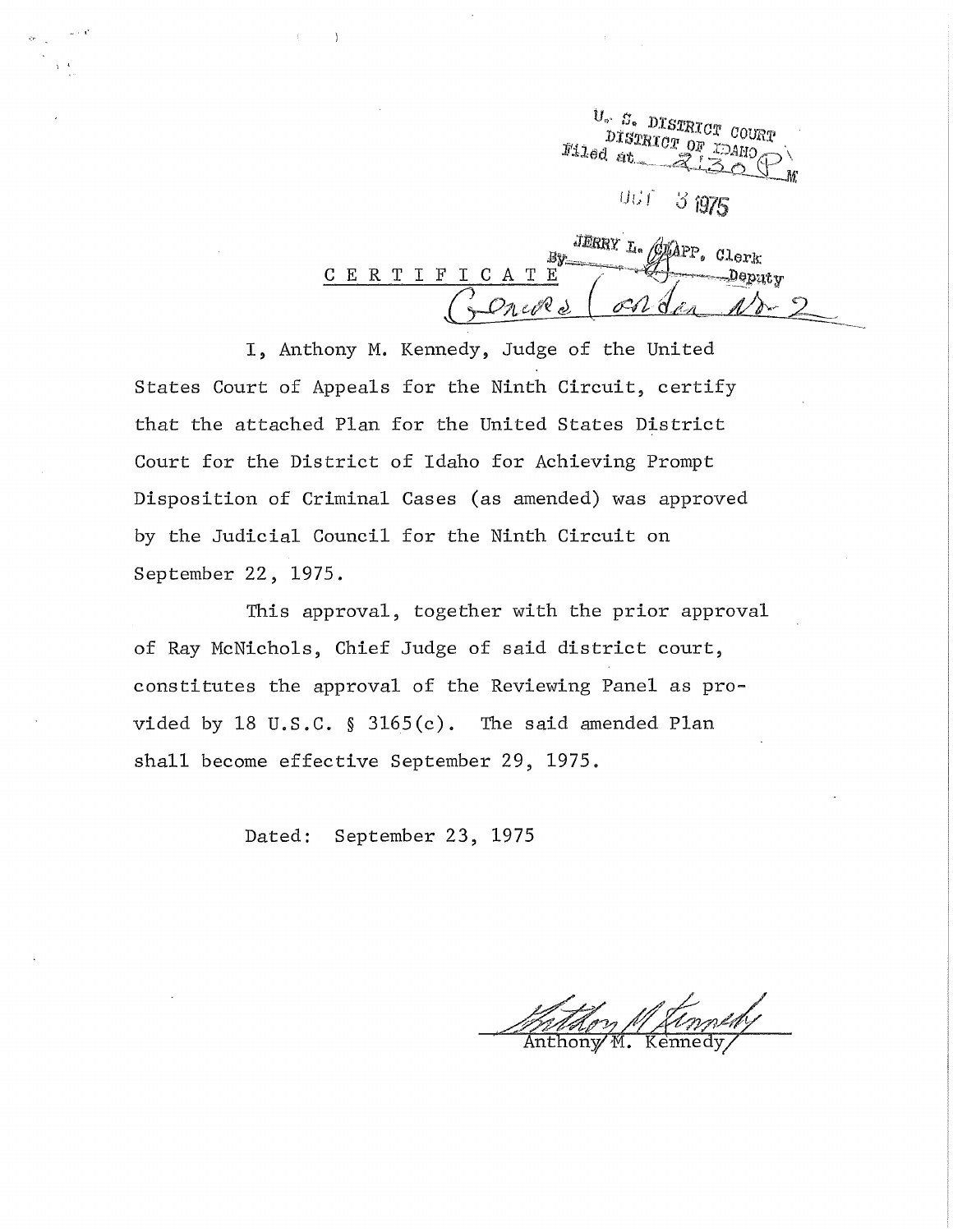$\frac{U_{\circ} - S_{\circ}}{DISTRTCH}$  COURT DISTRICT OF  $M16d$  at  $3975$  $UUf$ 

JERRY L. GLAPP.  $By_{-}$ C E R T I F I C A T E

I, Anthony M. Kennedy, Judge of the United States Court of Appeals for the Ninth Circuit, certify that the attached Plan for the United States District Court for the District of Idaho for Achieving Prompt Disposition of Criminal Cases (as amended) was approved by the Judicial Council for the Ninth Circuit on September 22, 1975.

·, '

This approval, together with the prior approval of Ray McNichols, Chief Judge of said district court, constitutes the approval of the Reviewing Panel as provided by 18 U.S.C. § 3165(c). The said amended Plan shall become effective September 29, 1975.

Dated: September 23, 1975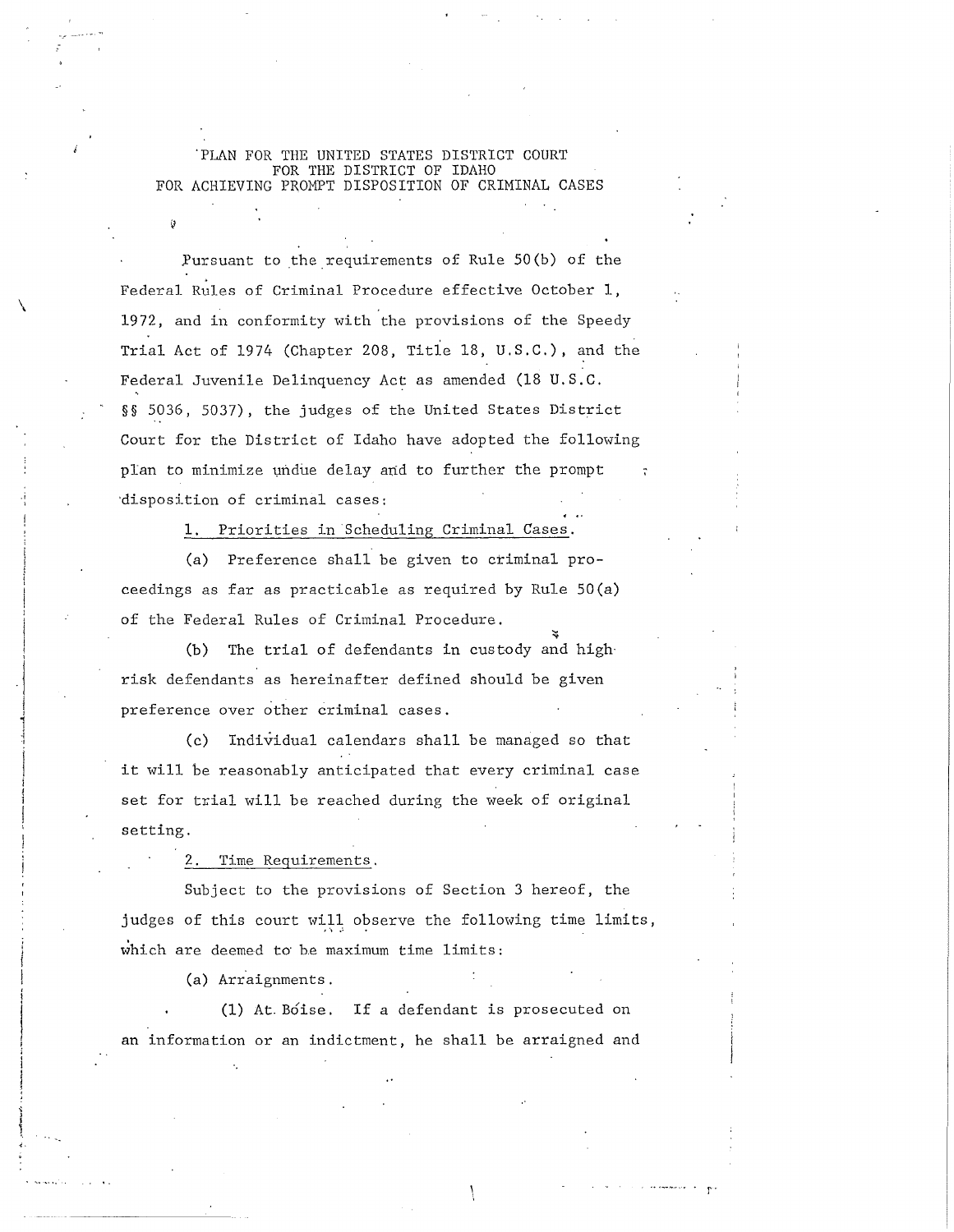'PLAN FOR THE UNITED STATES DISTRICT COURT FOR THE DISTRICT OF IDAHO FOR ACHIEVING PROMPT DISPOSITION OF CRIMINAL CASES

Pursuant to the requirements of Rule  $50(b)$  of the Federal Rules of Criminal Procedure effective October 1, 1972, and in conformity with the provisions of the Speedy Trial Act of 1974 (Chapter 208, Title 18, U.S.C.), and the Federal Juvenile Delinquency Act as amended (18 U.S.C. §§ 5036, 5037), the judges of the United States District Court for the District of Idaho have adopted the following plan to minimize undue delay and to further the prompt ·disposition of criminal cases:

1. Priorities in Scheduling Criminal Cases.

(a) Preference shall be given to criminal proceedings as far as practicable as required by Rule SO(a) of the Federal Rules of Criminal Procedure.

(b) The trial of defendants in custody and highrisk defendants as hereinafter defined should be given preference over other criminal cases .

(c) Individual calendars shall be managed so that it will be reasonably anticipated that every criminal case set for trial will be reached during the week of original setting.

Time Requirements.

Subject to the provisions of Section 3 hereof, the judges of this court will observe the following time limits, which are deemed to be maximum time limits:

(a) Arraignments.

 $\overline{\phantom{0}}$ 

.i

 $\vert$ 

 $\cdot$  j

 $\frac{1}{4}$ ·i

> (1) At. Boise. If a defendant is prosecuted on an information or an indictment, he shall be arraigned and

> > .. ·~·-· .. r·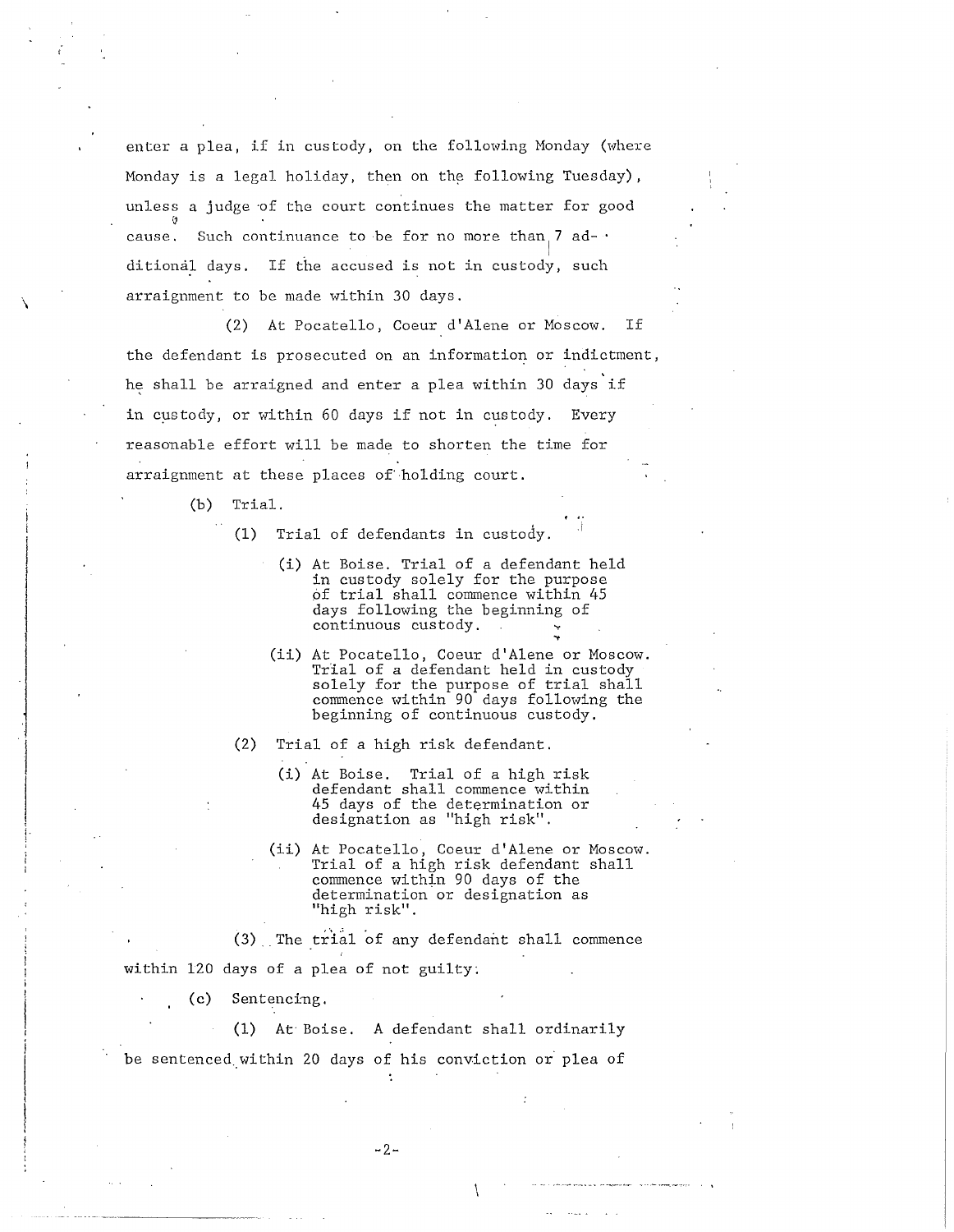enter a plea, if in custody, on the following Honday (where Monday is a legal holiday, then on the following Tuesday), unless a judge of the court continues the matter for good ~ cause. Such continuance to be for no more than  $7$  ad- $\cdot$ ditional days. If the accused is not in custody, such arraignment to be made within 30 days.

(2) At Pocatello, Coeur d'Alene or Moscow. If the defendant is prosecuted on an information or indictment, he shall be arraigned and enter a plea within 30 days if in custody, or within 60 days if not in custody. Every reasonable effort will be made to shorten the time for arraignment at these places of'holding court.

(b) Trial.

 $\lambda$ 

 $\begin{array}{c} \begin{array}{c} \begin{array}{c} \begin{array}{c} \end{array} \end{array} \end{array} \end{array}$ 

 $\parallel$ !·

- (1) Trial of defendants in custody.
	- (i) At Boise. Trial of a defendant held in custody solely for the purpose of trial shall commence within 45 days following the beginning of continuous custody. <sup>~</sup>
	- (ii) At Pocatello, Coeur d'Alene or Moscow. Trial of a defendant held in custody solely for the purpose of trial shall commence within 90 days following the beginning of continuous custody.
- (2) Trial of a high risk defendant.
	- (i) At Boise. Trial of a high risk defendant shall commence within 45 days of the determination or designation as "high risk".
	- (ii) At Pocatello, Coeur d'Alene or Moscow. Trial of a high risk defendant shall commence within 90 days of the determination or designation as "high risk".

 $(3)$  . The trial of any defendant shall commence

within 120 days of a plea of not guilty;

(c) Sentencing.

(1) At Boise. A defendant shall ordinarily

be sentenced within 20 days of his conviction or plea of

-2-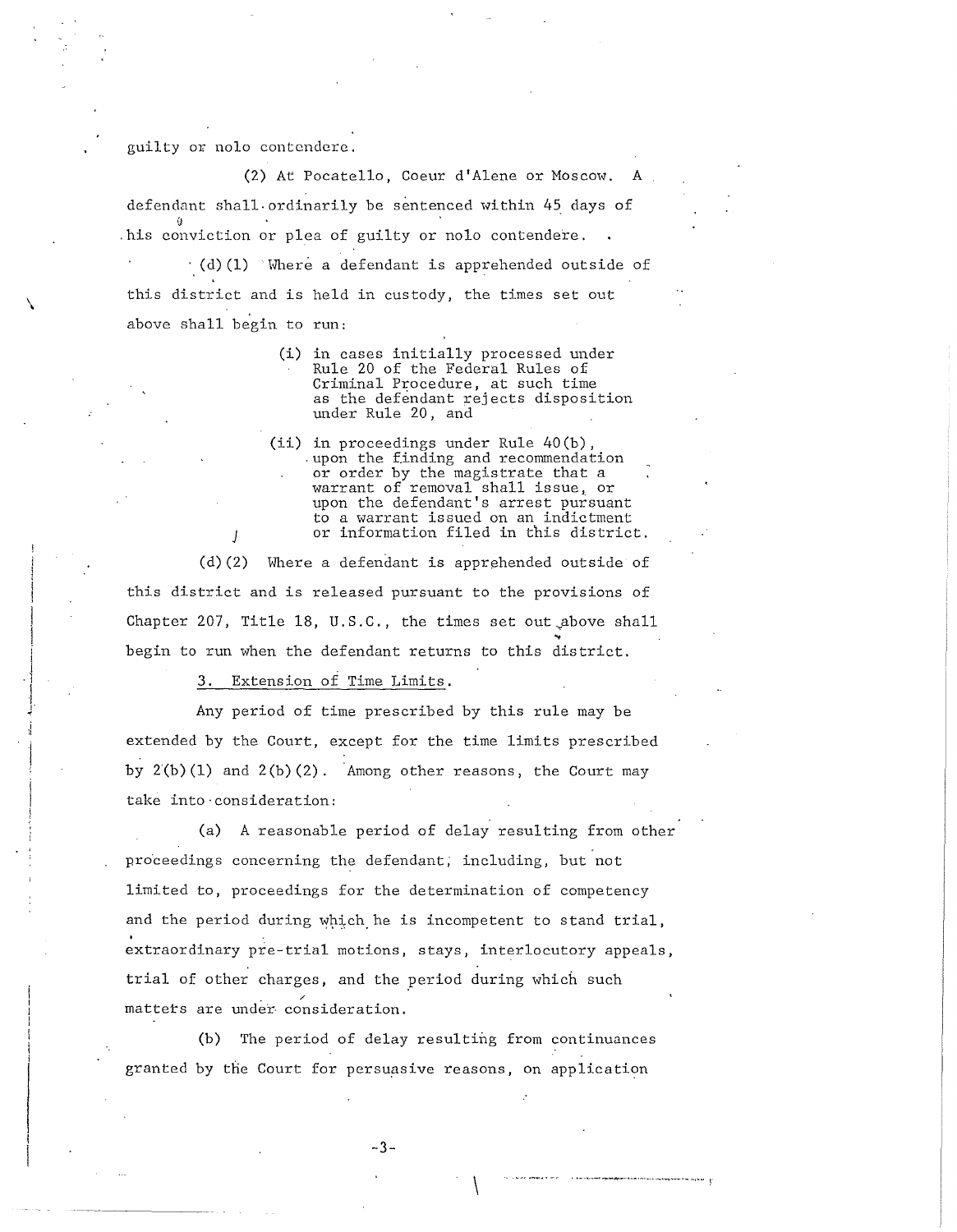guilty or nolo contendere.

 $\checkmark$ 

i  $\cdot \cdot$ I ,. •

(2) At Pocatello, Coeur d'Alene or Moscow. A defendant shall. ordinarily be sentenced within 45 days of (I .his conviction or plea of guilty or nolo contendere.  $\cdot$  (d)(1) Where a defendant is apprehended outside of this district and is held in custody, the times set out above shall begin to run:

- (i) in cases initially processed under Rule 20 of the Federal Rules of Criminal Procedure, at such time as the defendant rejects disposition under Rule 20, and
- (ii) in proceedings under Rule 40(b), . upon the finding and recommendation or order by the magistrate that a warrant of removal shall issue, or warrant of femovar sharr rosae; or to a warrant issued on an indictment or information filed in this district.

(d)(2) Where a defendant is apprehended outside of this district and is released pursuant to the provisions of Chapter 207, Title 18, U.S.C., the times set out above shall begin to run when the defendant returns to this district.

3. Extension of Time Limits.

Any period of time prescribed by this rule may be extended by the Court, except for the time limits prescribed by 2(b)(l) and 2(b)(2). Among other reasons, the Court may take into·consideration:

(a) A reasonable period of delay resulting from other proceedings concerning the defendant, including, but not limited to, proceedings for the determination of competency and the period during which he is incompetent to stand trial, extraordinary pre-trial motions, stays, interlocutory appeals, trial of other charges, and the period during which such matters are under consideration.

(b) The period of delay resulting from continuances granted by the Court for persuasive reasons, on application

-3-

 $\setminus$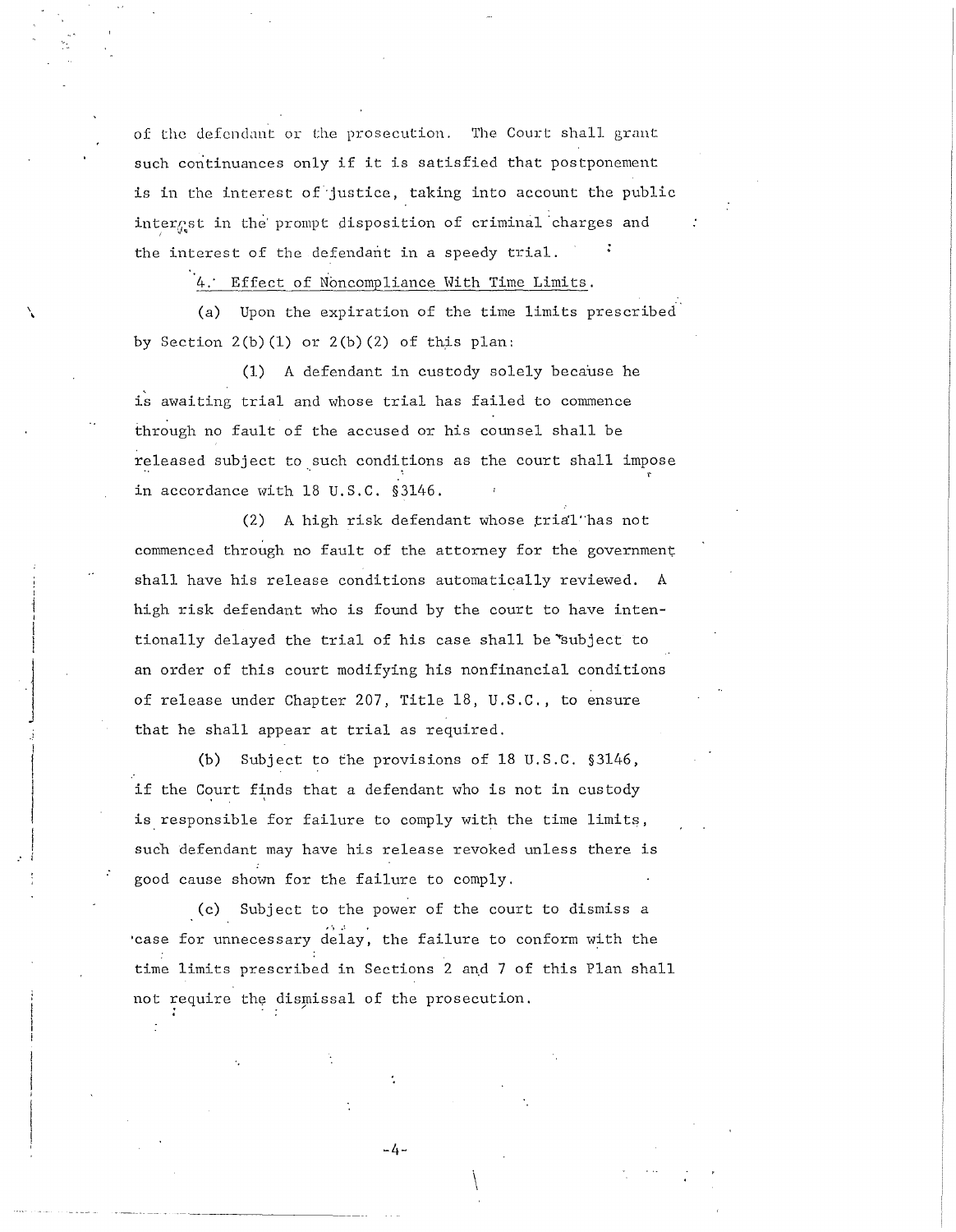of the defendant or the prosecution. The Court shall grant such continuances only if it is satisfied that postponement is in the interest of justice, taking into account the public interest in the prompt disposition of criminal charges and  $\mathcal{L} \subset \mathcal{L}$ the interest of the defendant in a speedy trial.

4: Effect of Noncompliance Hith Time Limits.

\ \

 $\cdot$   $\vert$ I J

(a) Upon the expiration of the time limits prescribed by Section  $2(b)(1)$  or  $2(b)(2)$  of this plan:

(1) A defendant in custody solely because he is awaiting trial and whose trial has failed to commence through no fault of the accused or his counsel shall be released subject to such conditions as the court shall impose in accordance with 18 U.S.C. §3146.

 $(2)$  A high risk defendant whose  $trial$  has not commenced through no fault of the attorney for the government shall have his release conditions automatically reviewed. A high risk defendant who is found by the court to have intentionally delayed the trial of his case shall be subject to an order of this court modifying his nonfinancial conditions of release under Chapter 207, Title 18, U.S.C., to ensure that he shall appear at trial as required.

(b) Subject to the provisions of 18 U.S.C. §3146, if the Court finds that a defendant who is not in custody is responsible for failure to comply with the time limits, such defendant may have his release revoked unless there is good cause shown for the failure to comply.

(c) Subject to the power of the court to dismiss a .<br>case for unnecessary delay, the failure to conform with the time limits prescribed in Sections 2 and 7 of this Plan shall not require the dismissal of the prosecution.

-4-

 $\setminus$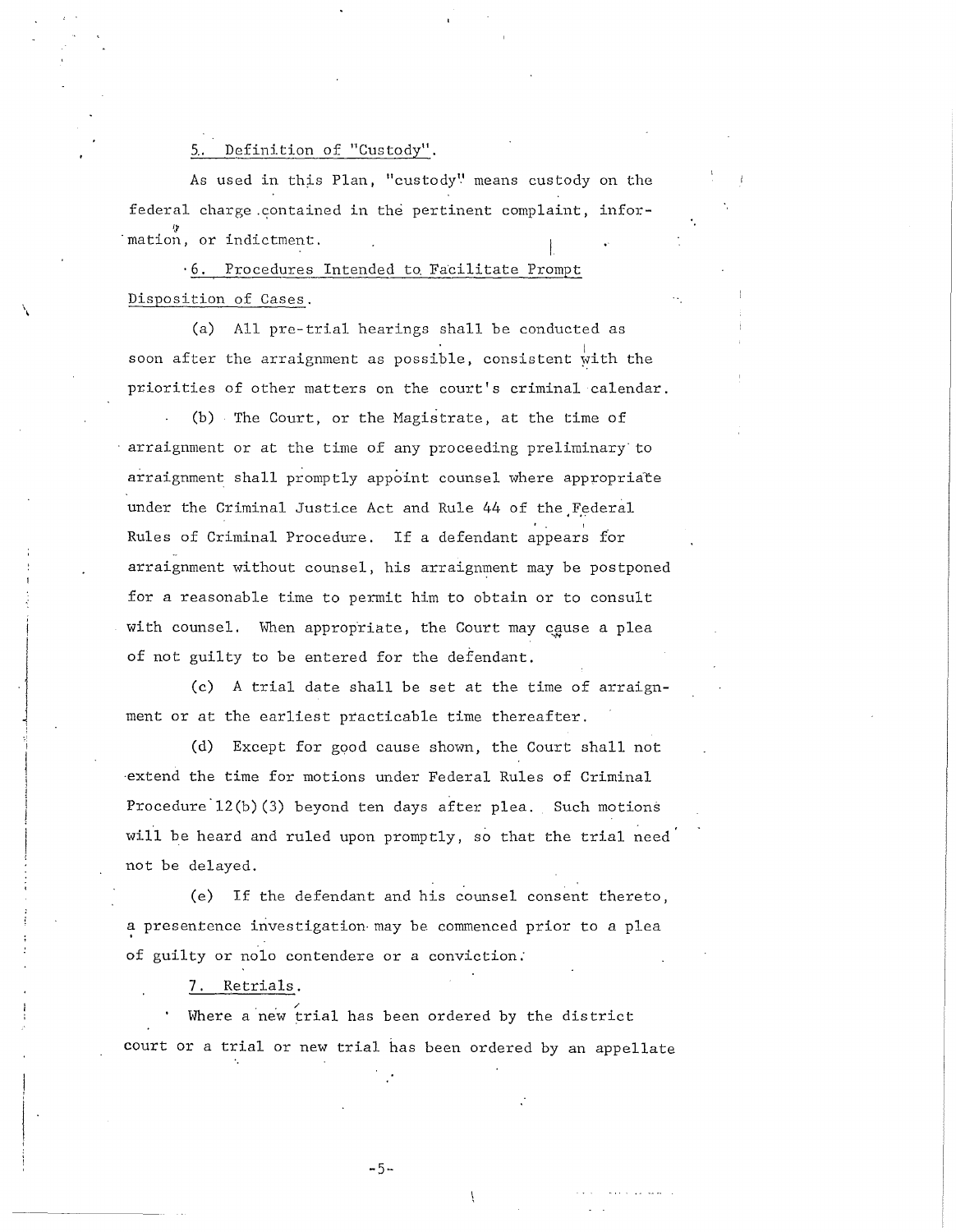## 5.. Definition of "Custody".

 $\mathcal{L}_{\mathcal{A}}$ 

 $\begin{array}{c}\n\hline\n\hline\n\end{array}$ 

 $\frac{1}{2}$ 

As used in this Plan, "custody" means custody on the federal charge contained in the pertinent complaint, information, or indictment.

· 6. Procedures Intended to. Facilitate Prompt Disposition of Cases.

(a) All pre-trial hearings shall be conducted as soon after the arraignment as possible, consistent with the priorities of other matters on the court's criminal calendar.

(b) The Court, or the Hagistrate, at the time of arraignment or at the time of any proceeding preliminary to arraignment shall promptly appoint counsel where appropriate under the Criminal Justice Act and Rule 44 of the Federal Rules of Criminal Procedure. If a defendant appears for arraignment without counsel, his arraignment may be postponed for a reasonable time to permit him to obtain or to consult with counsel. When appropriate, the Court may cause a plea of not guilty to be entered for the defendant.

(c) A trial date shall be set at the time of arraignment or at the earliest practicable time thereafter.

(d) Except for good cause shown, the Court shall not ·extend the time for motions under Federal Rules of Criminal Procedure'l2(b)(3) beyond ten days after plea. Such motions will be heard and ruled upon promptly, so that the trial need not be delayed.

(e) If the defendant and his counsel consent thereto, a presentence investigation-may be commenced prior to a plea of guilty or nolo contendere or a conviction:

## 7. Retrials.

Where a new trial has been ordered by the district court or a trial or new trial has been ordered by an appellate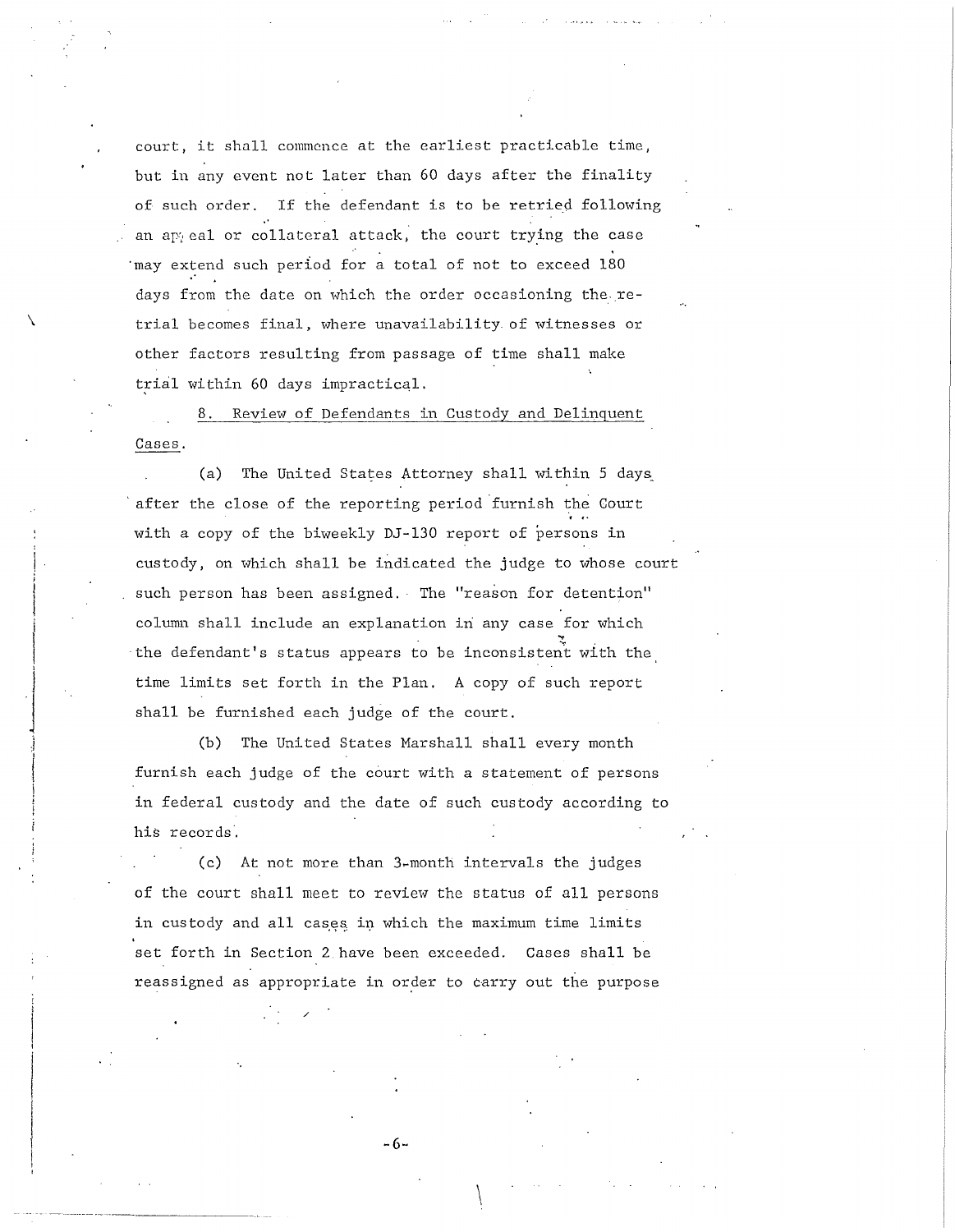court, it shall commence at the earliest practicable time, but in any event not later than 60 days after the finality of such order. If the defendant is to be retried following an any eal or collateral attack, the court trying the case may extend such period for a total of not to exceed 180 days from the date on which the order occasioning the retrial becomes final, where unavailability of witnesses or other factors resulting from passage of time shall make trial within 60 days impractical.

\

 $\overline{\phantom{a}}$ 

 $\vert$  $\mathbb{R}$ 

Review of Defendants in Custody and Delinquent Cases.

(a) The United States Attorney shall within 5 days after the close of the reporting period furnish the Court with a copy of the biweekly DJ-130 report of persons in custody, on which shall be indicated the judge to whose court such person has been assigned. The "reason for detention" column shall include an explanation in any case for which the defendant's status appears to be inconsistent with the, time limits set forth in the Plan. A copy of such report shall be furnished each judge of the court.

(b) The United States Marshall shall every month furnish each judge of the court with a statement of persons in federal custody and the date of such custody according to his records.

(c) At not more than 3~month intervals the judges of the court shall meet to review the status of all persons in custody and all cases in which the maximum time limits set forth in Section 2 have been exceeded. Cases shall be reassigned as appropriate in order to carry out the purpose

-6-

 $\int$ 

/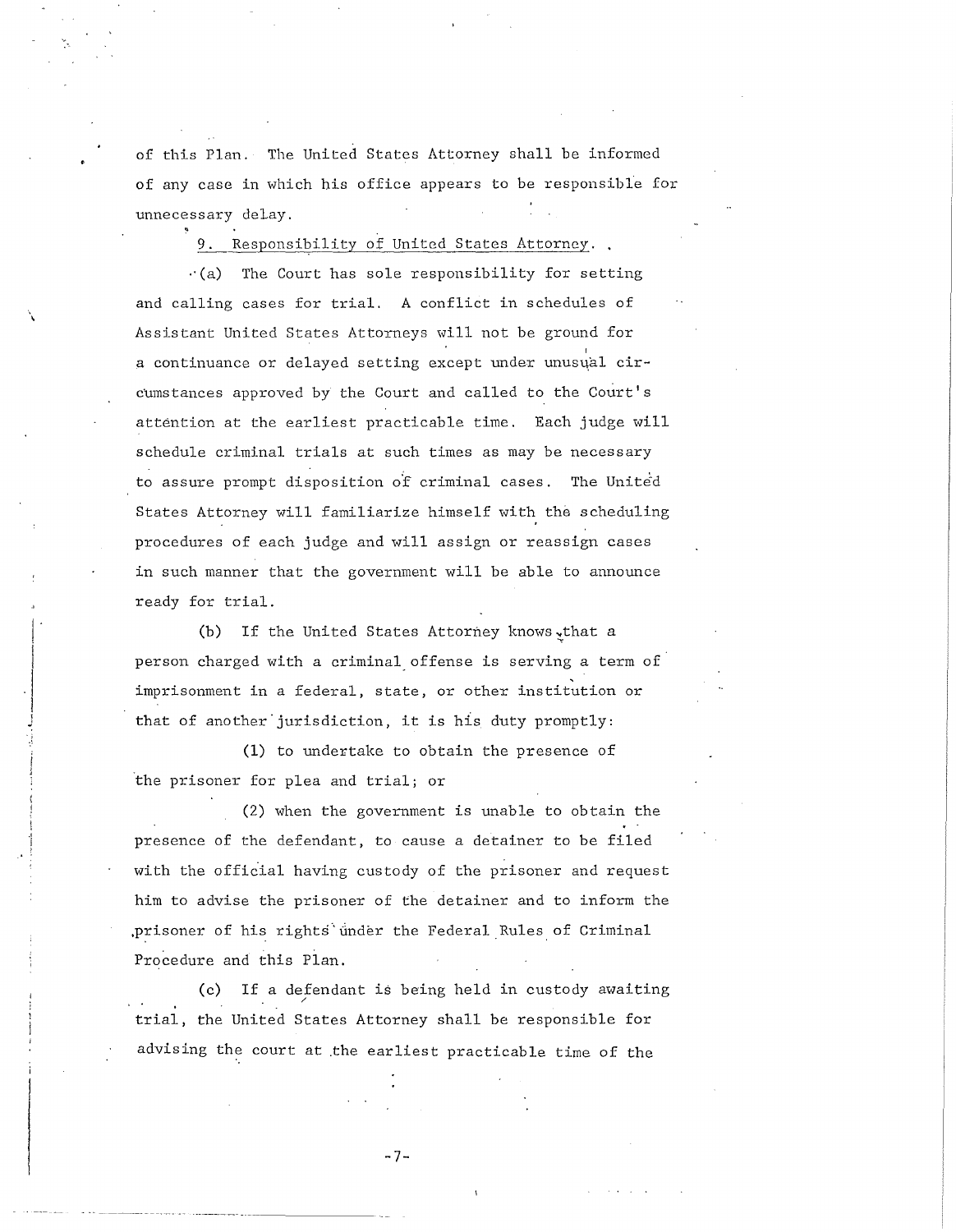of this Plan. The United States Attorney shall be informed of any case in which his office appears to be responsible for unnecessary delay.

Responsibility of United States Attorney.

·,  $\ddot{\phantom{0}}$ 

> $\left| \cdot \right|$ ! I

|<br>|-<br>|<br>|<br>|<br>|

 $\cdot$ (a) The Court has sole responsibility for setting and calling cases for trial. A conflict in schedules of Assistant United States Attorneys will not be ground for a continuance or delayed setting except under unusual circumstances approved by the Court and called to the Court's attention at the earliest practicable time. Each judge will schedule criminal trials at such times as may be necessary to assure prompt disposition of criminal cases. The United States Attorney will familiarize himself with the scheduling procedures of each judge and will assign or reassign cases in such manner that the government will be able to announce ready for trial.

(b) If the United States Attorney knows, that a person charged with a criminal offense is serving a term of imprisonment in a federal, state, or other institution or that of another jurisdiction, it is his duty promptly:

(1) to undertake to obtain the presence of the prisoner for plea and trial; or

(2) when the government is unable to obtain the presence of the defendant, to cause a detainer to be filed with the official having custody of the prisoner and request him to advise the prisoner of the detainer and to inform the prisoner of his rights under the Federal Rules of Criminal Procedure and this Plan.

(c) If a defendant is being held in custody awaiting trial, the United States Attorney shall be responsible for advising the court at the earliest practicable time of the

-7-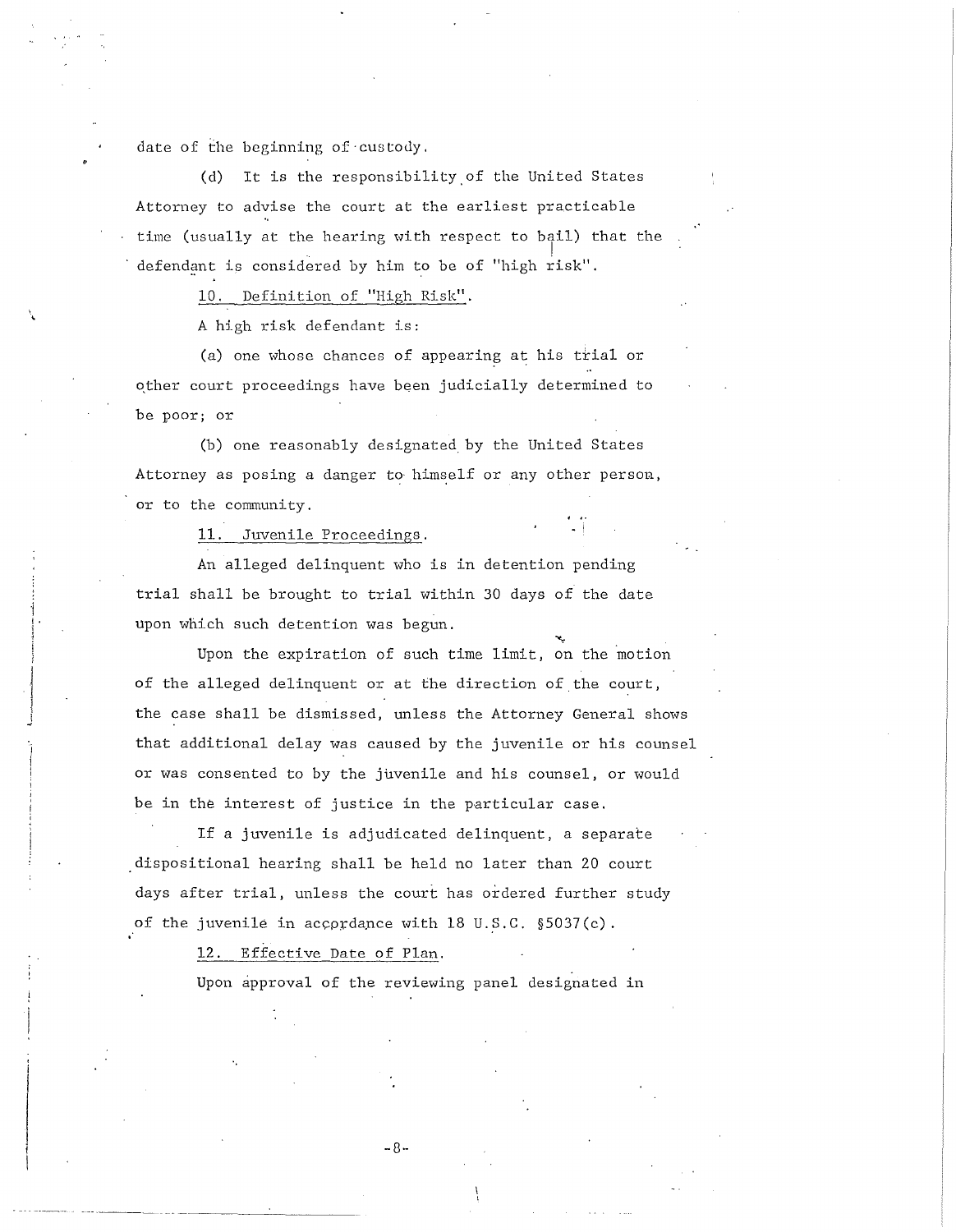date of the beginning of custody.

(d) It is the responsibility.of the United States Attorney to advise the court at the earliest practicable time (usually at the hearing with respect to bail) that the defendant is considered by him to be of "high risk".

10. Definition of "High Risk".

A high risk defendant is:

(a) one whose chances of appearing at his trial or other court proceedings have been judicially determined to be poor; or

(b) one reasonably designated by the United States Attorney as posing a danger to himself or any other person, or to the community.

11. Juvenile Proceedings.

 $\begin{array}{c} \begin{array}{ccc} \begin{array}{ccc} \end{array} & \end{array} & \begin{array}{ccc} \end{array} & \begin{array}{ccc} \end{array} & \end{array} \end{array}$  $\mathbf{I}$ J

An alleged delinquent who is in detention pending trial shall be brought to trial within 30 days of the date upon which such detention was begun.

Upon the expiration of such time limit, on the motion of the alleged delinquent or at the direction of the court, the case shall be dismissed, unless the Attorney General shows that additional delay was caused by the juvenile or his counsel or was consented to by the juvenile and his counsel, or would be in the interest of justice in the particular case.

If a juvenile is adjudicated delinquent, a separate dispositional hearing shall be held no later than 20 court days after trial, unless the court has ordered further study of the juvenile in accordance with 18 U.S.C. §5037(c).<br>12. Effective Date of Plan.

Upon approval of the reviewing panel designated in

-8-